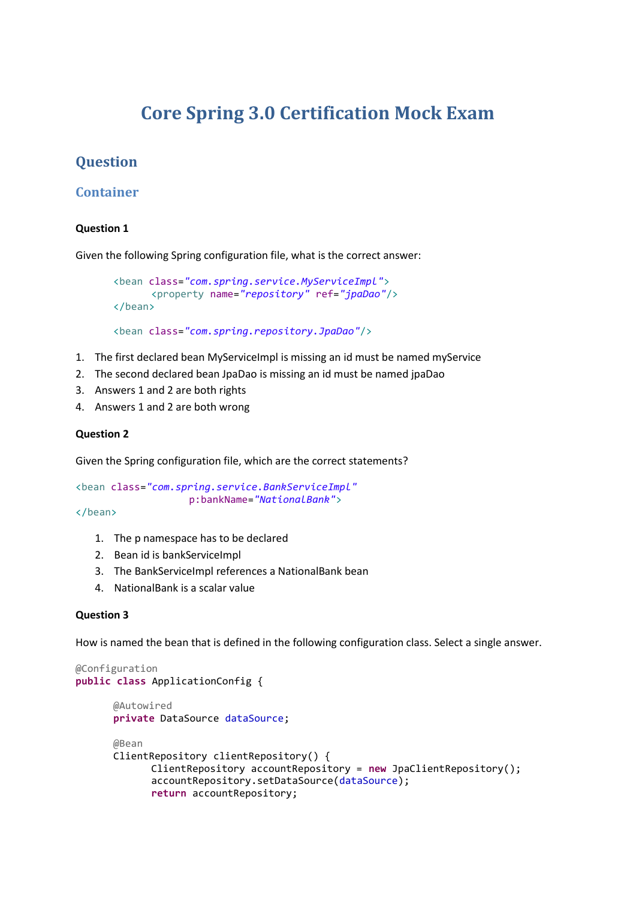# **Core Spring 3.0 Certification Mock Exam**

## **Question**

## **Container**

## **Question 1**

Given the following Spring configuration file, what is the correct answer:

```
<bean class="com.spring.service.MyServiceImpl">
      <property name="repository" ref="jpaDao"/>
</bean>
```

```
<bean class="com.spring.repository.JpaDao"/>
```
- 1. The first declared bean MyServiceImpl is missing an id must be named myService
- 2. The second declared bean JpaDao is missing an id must be named jpaDao
- 3. Answers 1 and 2 are both rights
- 4. Answers 1 and 2 are both wrong

## **Question 2**

Given the Spring configuration file, which are the correct statements?

```
<bean class="com.spring.service.BankServiceImpl"
                   p:bankName="NationalBank">
```
#### </bean>

- 1. The p namespace has to be declared
- 2. Bean id is bankServiceImpl
- 3. The BankServiceImpl references a NationalBank bean
- 4. NationalBank is a scalar value

## **Question 3**

How is named the bean that is defined in the following configuration class. Select a single answer.

```
@Configuration
public class ApplicationConfig {
      @Autowired
      private DataSource dataSource;
      @Bean
      ClientRepository clientRepository() {
            ClientRepository accountRepository = new JpaClientRepository();
             accountRepository.setDataSource(dataSource);
             return accountRepository;
```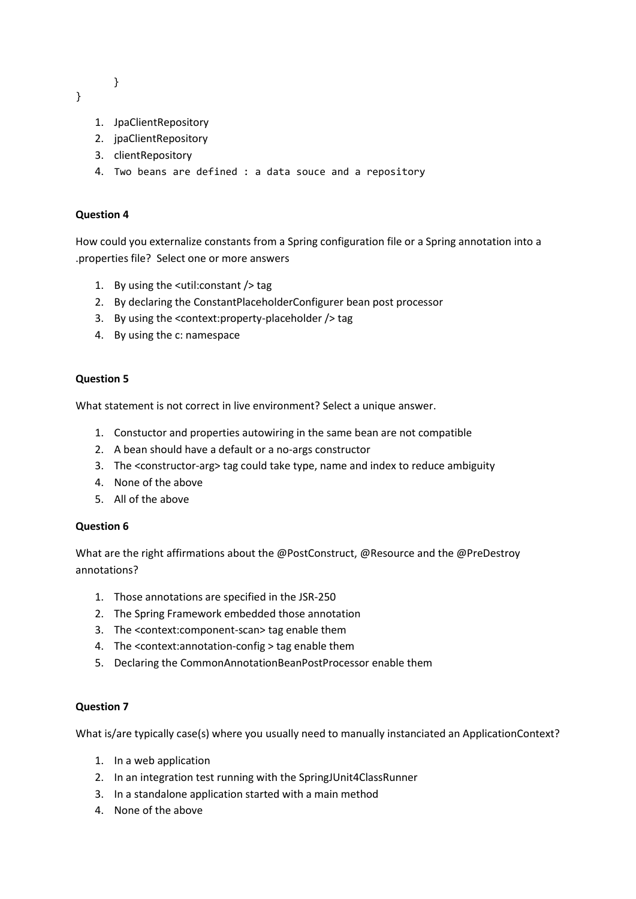}

}

- 1. JpaClientRepository
- 2. jpaClientRepository
- 3. clientRepository
- 4. Two beans are defined : a data souce and a repository

## **Question 4**

How could you externalize constants from a Spring configuration file or a Spring annotation into a .properties file? Select one or more answers

- 1. By using the <util:constant /> tag
- 2. By declaring the ConstantPlaceholderConfigurer bean post processor
- 3. By using the <context:property-placeholder /> tag
- 4. By using the c: namespace

## **Question 5**

What statement is not correct in live environment? Select a unique answer.

- 1. Constuctor and properties autowiring in the same bean are not compatible
- 2. A bean should have a default or a no-args constructor
- 3. The <constructor-arg> tag could take type, name and index to reduce ambiguity
- 4. None of the above
- 5. All of the above

#### **Question 6**

What are the right affirmations about the @PostConstruct, @Resource and the @PreDestroy annotations?

- 1. Those annotations are specified in the JSR-250
- 2. The Spring Framework embedded those annotation
- 3. The <context:component-scan> tag enable them
- 4. The <context:annotation-config > tag enable them
- 5. Declaring the CommonAnnotationBeanPostProcessor enable them

#### **Question 7**

What is/are typically case(s) where you usually need to manually instanciated an ApplicationContext?

- 1. In a web application
- 2. In an integration test running with the SpringJUnit4ClassRunner
- 3. In a standalone application started with a main method
- 4. None of the above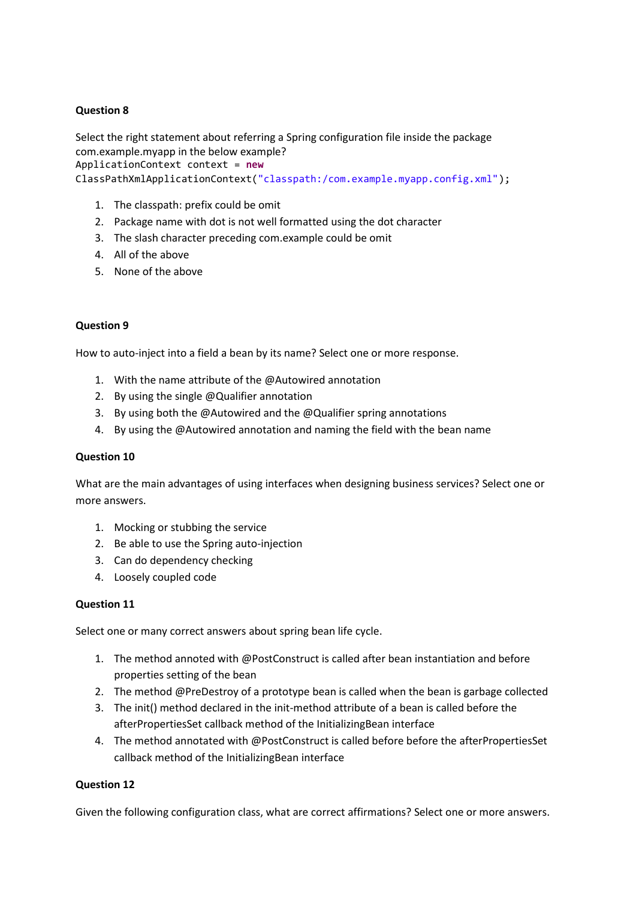Select the right statement about referring a Spring configuration file inside the package com.example.myapp in the below example? ApplicationContext context = **new** ClassPathXmlApplicationContext("classpath:/com.example.myapp.config.xml");

- 1. The classpath: prefix could be omit
- 2. Package name with dot is not well formatted using the dot character
- 3. The slash character preceding com.example could be omit
- 4. All of the above
- 5. None of the above

#### **Question 9**

How to auto-inject into a field a bean by its name? Select one or more response.

- 1. With the name attribute of the @Autowired annotation
- 2. By using the single @Qualifier annotation
- 3. By using both the @Autowired and the @Qualifier spring annotations
- 4. By using the @Autowired annotation and naming the field with the bean name

#### **Question 10**

What are the main advantages of using interfaces when designing business services? Select one or more answers.

- 1. Mocking or stubbing the service
- 2. Be able to use the Spring auto-injection
- 3. Can do dependency checking
- 4. Loosely coupled code

#### **Question 11**

Select one or many correct answers about spring bean life cycle.

- 1. The method annoted with @PostConstruct is called after bean instantiation and before properties setting of the bean
- 2. The method @PreDestroy of a prototype bean is called when the bean is garbage collected
- 3. The init() method declared in the init-method attribute of a bean is called before the afterPropertiesSet callback method of the InitializingBean interface
- 4. The method annotated with @PostConstruct is called before before the afterPropertiesSet callback method of the InitializingBean interface

#### **Question 12**

Given the following configuration class, what are correct affirmations? Select one or more answers.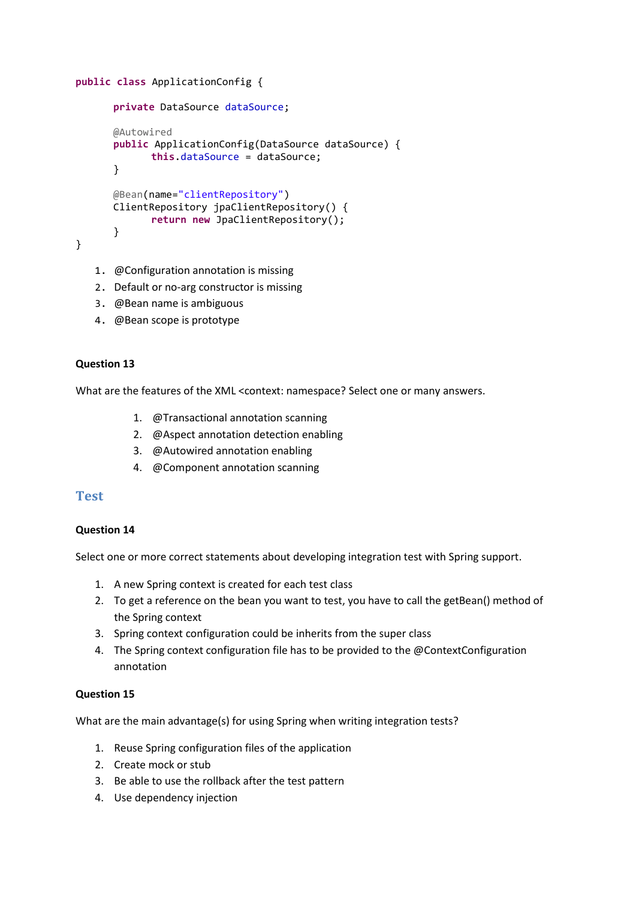```
public class ApplicationConfig {
      private DataSource dataSource;
      @Autowired
      public ApplicationConfig(DataSource dataSource) {
             this.dataSource = dataSource;
      }
      @Bean(name="clientRepository")
      ClientRepository jpaClientRepository() {
             return new JpaClientRepository();
      }
}
```
- 1. @Configuration annotation is missing
- 2. Default or no-arg constructor is missing
- 3. @Bean name is ambiguous
- 4. @Bean scope is prototype

What are the features of the XML <context: namespace? Select one or many answers.

- 1. @Transactional annotation scanning
- 2. @Aspect annotation detection enabling
- 3. @Autowired annotation enabling
- 4. @Component annotation scanning

## **Test**

#### **Question 14**

Select one or more correct statements about developing integration test with Spring support.

- 1. A new Spring context is created for each test class
- 2. To get a reference on the bean you want to test, you have to call the getBean() method of the Spring context
- 3. Spring context configuration could be inherits from the super class
- 4. The Spring context configuration file has to be provided to the @ContextConfiguration annotation

### **Question 15**

What are the main advantage(s) for using Spring when writing integration tests?

- 1. Reuse Spring configuration files of the application
- 2. Create mock or stub
- 3. Be able to use the rollback after the test pattern
- 4. Use dependency injection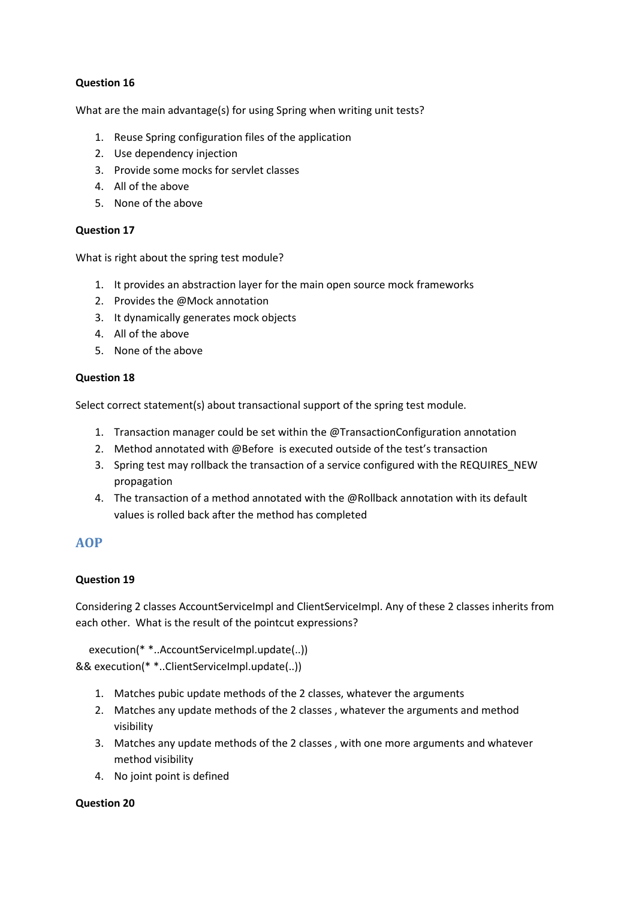What are the main advantage(s) for using Spring when writing unit tests?

- 1. Reuse Spring configuration files of the application
- 2. Use dependency injection
- 3. Provide some mocks for servlet classes
- 4. All of the above
- 5. None of the above

## **Question 17**

What is right about the spring test module?

- 1. It provides an abstraction layer for the main open source mock frameworks
- 2. Provides the @Mock annotation
- 3. It dynamically generates mock objects
- 4. All of the above
- 5. None of the above

## **Question 18**

Select correct statement(s) about transactional support of the spring test module.

- 1. Transaction manager could be set within the @TransactionConfiguration annotation
- 2. Method annotated with @Before is executed outside of the test's transaction
- 3. Spring test may rollback the transaction of a service configured with the REQUIRES\_NEW propagation
- 4. The transaction of a method annotated with the @Rollback annotation with its default values is rolled back after the method has completed

## **AOP**

## **Question 19**

Considering 2 classes AccountServiceImpl and ClientServiceImpl. Any of these 2 classes inherits from each other. What is the result of the pointcut expressions?

 execution(\* \*..AccountServiceImpl.update(..)) && execution(\* \*..ClientServiceImpl.update(..))

- 1. Matches pubic update methods of the 2 classes, whatever the arguments
- 2. Matches any update methods of the 2 classes , whatever the arguments and method visibility
- 3. Matches any update methods of the 2 classes , with one more arguments and whatever method visibility
- 4. No joint point is defined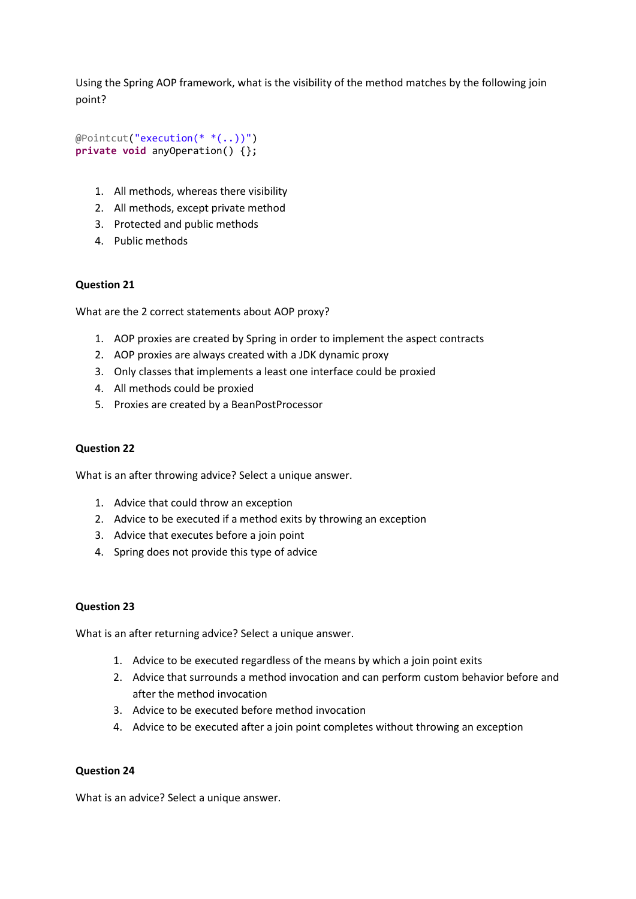Using the Spring AOP framework, what is the visibility of the method matches by the following join point?

```
@Pointcut("execution(* *(..))")
private void anyOperation() {};
```
- 1. All methods, whereas there visibility
- 2. All methods, except private method
- 3. Protected and public methods
- 4. Public methods

#### **Question 21**

What are the 2 correct statements about AOP proxy?

- 1. AOP proxies are created by Spring in order to implement the aspect contracts
- 2. AOP proxies are always created with a JDK dynamic proxy
- 3. Only classes that implements a least one interface could be proxied
- 4. All methods could be proxied
- 5. Proxies are created by a BeanPostProcessor

### **Question 22**

What is an after throwing advice? Select a unique answer.

- 1. Advice that could throw an exception
- 2. Advice to be executed if a method exits by throwing an exception
- 3. Advice that executes before a join point
- 4. Spring does not provide this type of advice

#### **Question 23**

What is an after returning advice? Select a unique answer.

- 1. Advice to be executed regardless of the means by which a join point exits
- 2. Advice that surrounds a method invocation and can perform custom behavior before and after the method invocation
- 3. Advice to be executed before method invocation
- 4. Advice to be executed after a join point completes without throwing an exception

#### **Question 24**

What is an advice? Select a unique answer.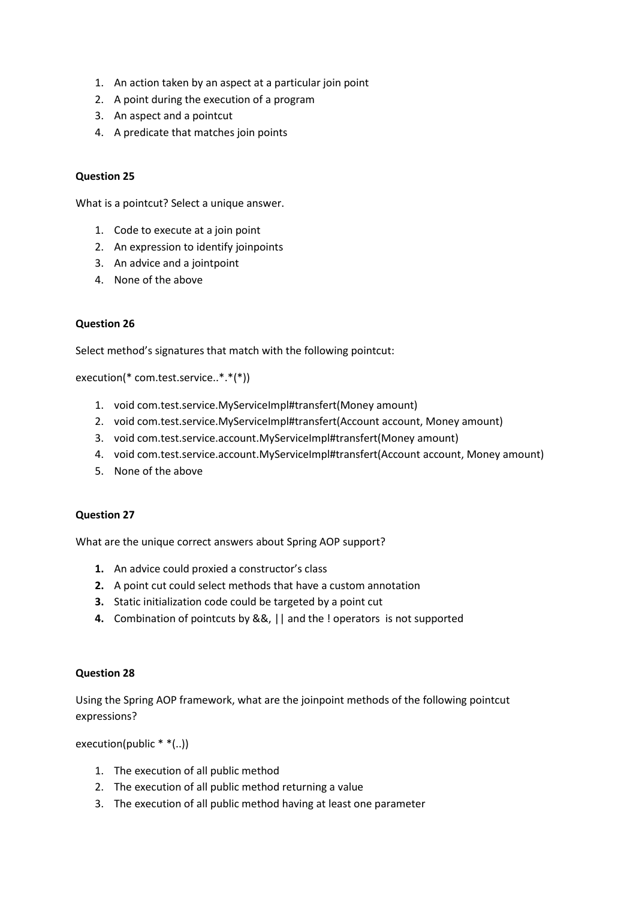- 1. An action taken by an aspect at a particular join point
- 2. A point during the execution of a program
- 3. An aspect and a pointcut
- 4. A predicate that matches join points

What is a pointcut? Select a unique answer.

- 1. Code to execute at a join point
- 2. An expression to identify joinpoints
- 3. An advice and a jointpoint
- 4. None of the above

## **Question 26**

Select method's signatures that match with the following pointcut:

execution(\* com.test.service..\*.\*(\*))

- 1. void com.test.service.MyServiceImpl#transfert(Money amount)
- 2. void com.test.service.MyServiceImpl#transfert(Account account, Money amount)
- 3. void com.test.service.account.MyServiceImpl#transfert(Money amount)
- 4. void com.test.service.account.MyServiceImpl#transfert(Account account, Money amount)
- 5. None of the above

#### **Question 27**

What are the unique correct answers about Spring AOP support?

- **1.** An advice could proxied a constructor's class
- **2.** A point cut could select methods that have a custom annotation
- **3.** Static initialization code could be targeted by a point cut
- **4.** Combination of pointcuts by &&, || and the ! operators is not supported

## **Question 28**

Using the Spring AOP framework, what are the joinpoint methods of the following pointcut expressions?

execution(public \* \*(..))

- 1. The execution of all public method
- 2. The execution of all public method returning a value
- 3. The execution of all public method having at least one parameter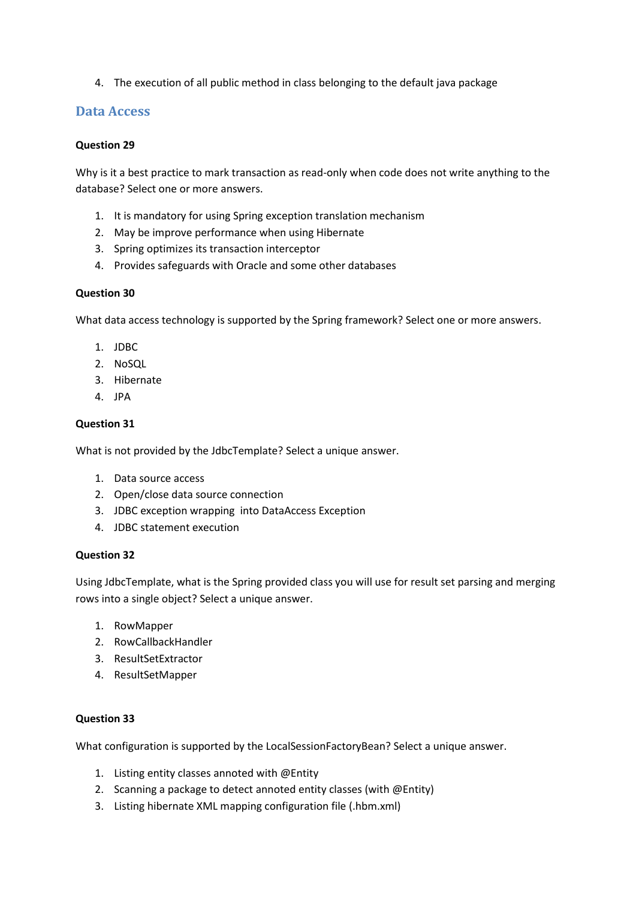4. The execution of all public method in class belonging to the default java package

## **Data Access**

### **Question 29**

Why is it a best practice to mark transaction as read-only when code does not write anything to the database? Select one or more answers.

- 1. It is mandatory for using Spring exception translation mechanism
- 2. May be improve performance when using Hibernate
- 3. Spring optimizes its transaction interceptor
- 4. Provides safeguards with Oracle and some other databases

## **Question 30**

What data access technology is supported by the Spring framework? Select one or more answers.

- 1. JDBC
- 2. NoSQL
- 3. Hibernate
- $\overline{4}$  IPA

## **Question 31**

What is not provided by the JdbcTemplate? Select a unique answer.

- 1. Data source access
- 2. Open/close data source connection
- 3. JDBC exception wrapping into DataAccess Exception
- 4. JDBC statement execution

#### **Question 32**

Using JdbcTemplate, what is the Spring provided class you will use for result set parsing and merging rows into a single object? Select a unique answer.

- 1. RowMapper
- 2. RowCallbackHandler
- 3. ResultSetExtractor
- 4. ResultSetMapper

#### **Question 33**

What configuration is supported by the LocalSessionFactoryBean? Select a unique answer.

- 1. Listing entity classes annoted with @Entity
- 2. Scanning a package to detect annoted entity classes (with @Entity)
- 3. Listing hibernate XML mapping configuration file (.hbm.xml)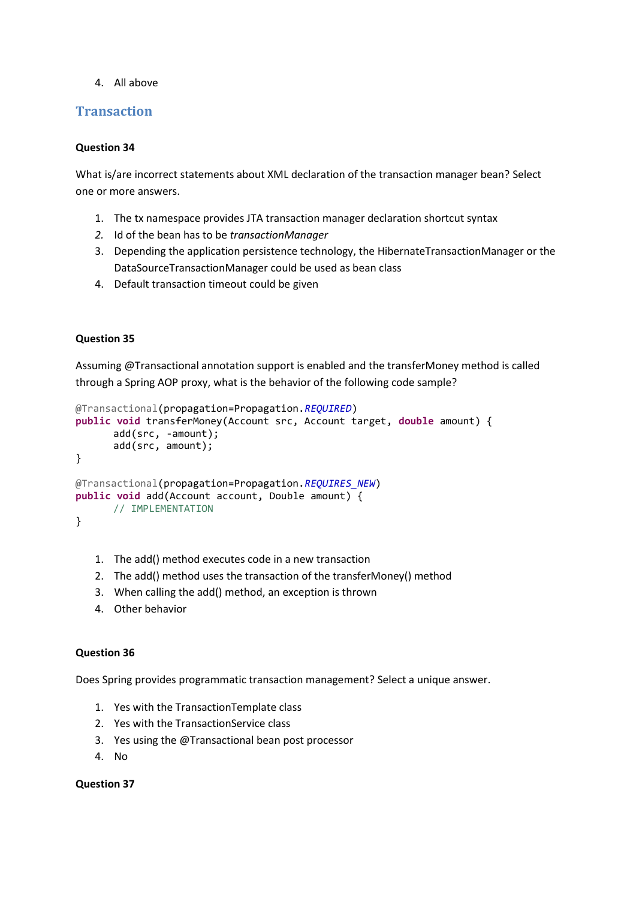4. All above

## **Transaction**

## **Question 34**

What is/are incorrect statements about XML declaration of the transaction manager bean? Select one or more answers.

- 1. The tx namespace provides JTA transaction manager declaration shortcut syntax
- *2.* Id of the bean has to be *transactionManager*
- 3. Depending the application persistence technology, the HibernateTransactionManager or the DataSourceTransactionManager could be used as bean class
- 4. Default transaction timeout could be given

## **Question 35**

Assuming @Transactional annotation support is enabled and the transferMoney method is called through a Spring AOP proxy, what is the behavior of the following code sample?

```
@Transactional(propagation=Propagation.REQUIRED)
public void transferMoney(Account src, Account target, double amount) {
      add(src, -amount);
      add(src, amount);
}
@Transactional(propagation=Propagation.REQUIRES_NEW)
public void add(Account account, Double amount) {
      // IMPLEMENTATION
}
```
- 1. The add() method executes code in a new transaction
- 2. The add() method uses the transaction of the transferMoney() method
- 3. When calling the add() method, an exception is thrown
- 4. Other behavior

#### **Question 36**

Does Spring provides programmatic transaction management? Select a unique answer.

- 1. Yes with the TransactionTemplate class
- 2. Yes with the TransactionService class
- 3. Yes using the @Transactional bean post processor
- 4. No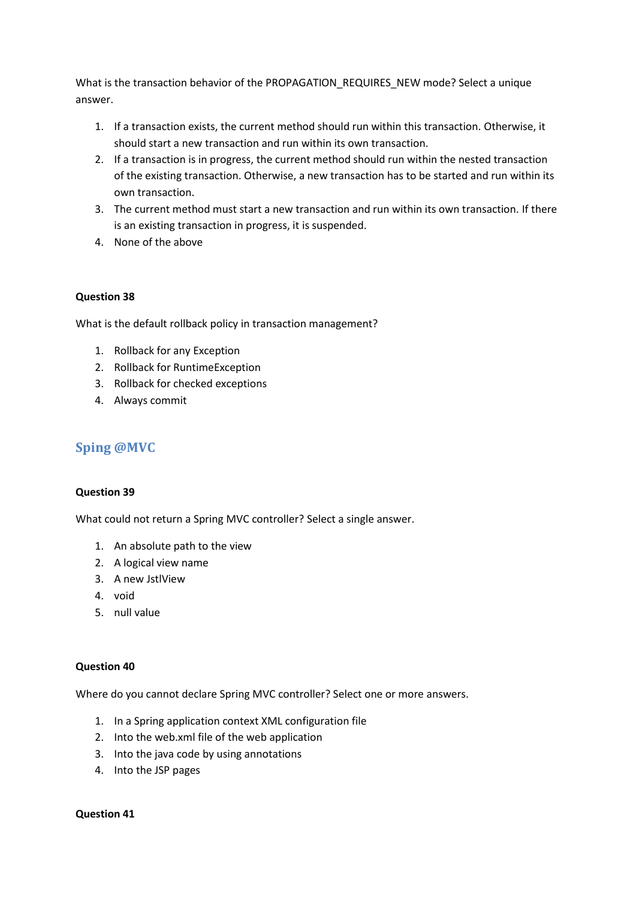What is the transaction behavior of the PROPAGATION\_REQUIRES\_NEW mode? Select a unique answer.

- 1. If a transaction exists, the current method should run within this transaction. Otherwise, it should start a new transaction and run within its own transaction.
- 2. If a transaction is in progress, the current method should run within the nested transaction of the existing transaction. Otherwise, a new transaction has to be started and run within its own transaction.
- 3. The current method must start a new transaction and run within its own transaction. If there is an existing transaction in progress, it is suspended.
- 4. None of the above

## **Question 38**

What is the default rollback policy in transaction management?

- 1. Rollback for any Exception
- 2. Rollback for RuntimeException
- 3. Rollback for checked exceptions
- 4. Always commit

## **Sping @MVC**

## **Question 39**

What could not return a Spring MVC controller? Select a single answer.

- 1. An absolute path to the view
- 2. A logical view name
- 3. A new JstlView
- 4. void
- 5. null value

## **Question 40**

Where do you cannot declare Spring MVC controller? Select one or more answers.

- 1. In a Spring application context XML configuration file
- 2. Into the web.xml file of the web application
- 3. Into the java code by using annotations
- 4. Into the JSP pages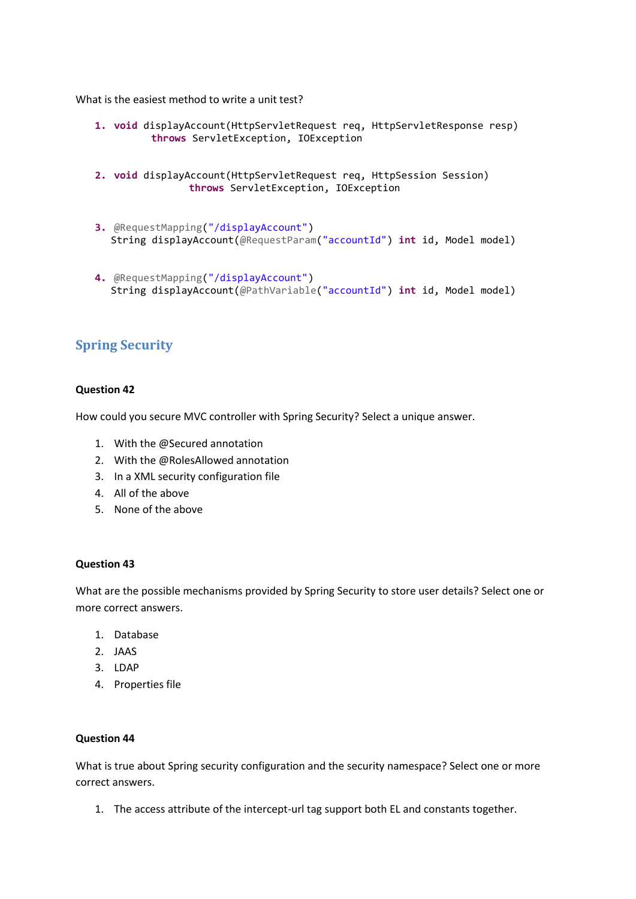What is the easiest method to write a unit test?

- **1. void** displayAccount(HttpServletRequest req, HttpServletResponse resp) **throws** ServletException, IOException
- **2. void** displayAccount(HttpServletRequest req, HttpSession Session) **throws** ServletException, IOException
- **3.** @RequestMapping("/displayAccount") String displayAccount(@RequestParam("accountId") **int** id, Model model)
- **4.** @RequestMapping("/displayAccount") String displayAccount(@PathVariable("accountId") **int** id, Model model)

## **Spring Security**

## **Question 42**

How could you secure MVC controller with Spring Security? Select a unique answer.

- 1. With the @Secured annotation
- 2. With the @RolesAllowed annotation
- 3. In a XML security configuration file
- 4. All of the above
- 5. None of the above

#### **Question 43**

What are the possible mechanisms provided by Spring Security to store user details? Select one or more correct answers.

- 1. Database
- $2$  JAAS
- 3. LDAP
- 4. Properties file

#### **Question 44**

What is true about Spring security configuration and the security namespace? Select one or more correct answers.

1. The access attribute of the intercept-url tag support both EL and constants together.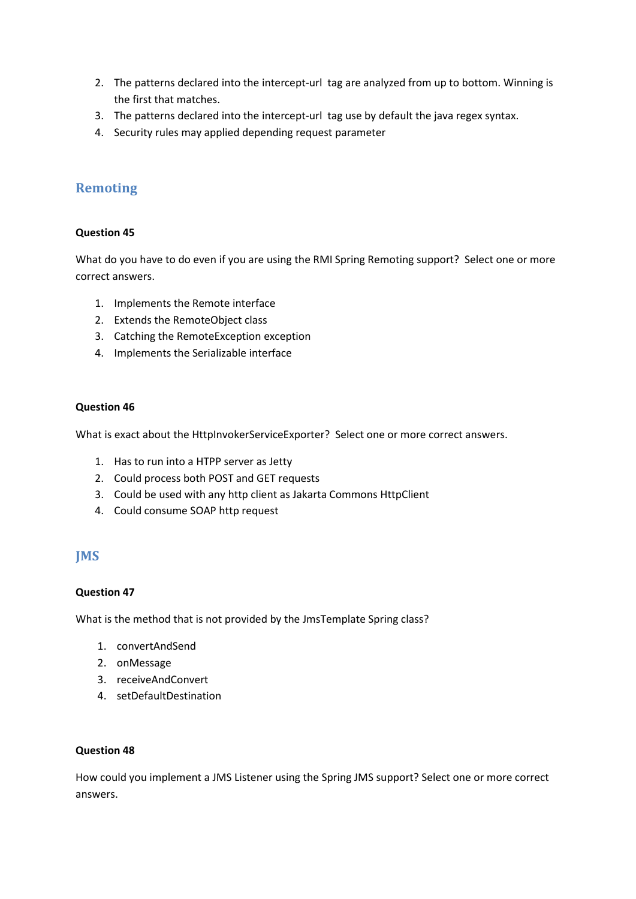- 2. The patterns declared into the intercept-url tag are analyzed from up to bottom. Winning is the first that matches.
- 3. The patterns declared into the intercept-url tag use by default the java regex syntax.
- 4. Security rules may applied depending request parameter

## **Remoting**

## **Question 45**

What do you have to do even if you are using the RMI Spring Remoting support? Select one or more correct answers.

- 1. Implements the Remote interface
- 2. Extends the RemoteObject class
- 3. Catching the RemoteException exception
- 4. Implements the Serializable interface

## **Question 46**

What is exact about the HttpInvokerServiceExporter? Select one or more correct answers.

- 1. Has to run into a HTPP server as Jetty
- 2. Could process both POST and GET requests
- 3. Could be used with any http client as Jakarta Commons HttpClient
- 4. Could consume SOAP http request

## **JMS**

#### **Question 47**

What is the method that is not provided by the JmsTemplate Spring class?

- 1. convertAndSend
- 2. onMessage
- 3. receiveAndConvert
- 4. setDefaultDestination

## **Question 48**

How could you implement a JMS Listener using the Spring JMS support? Select one or more correct answers.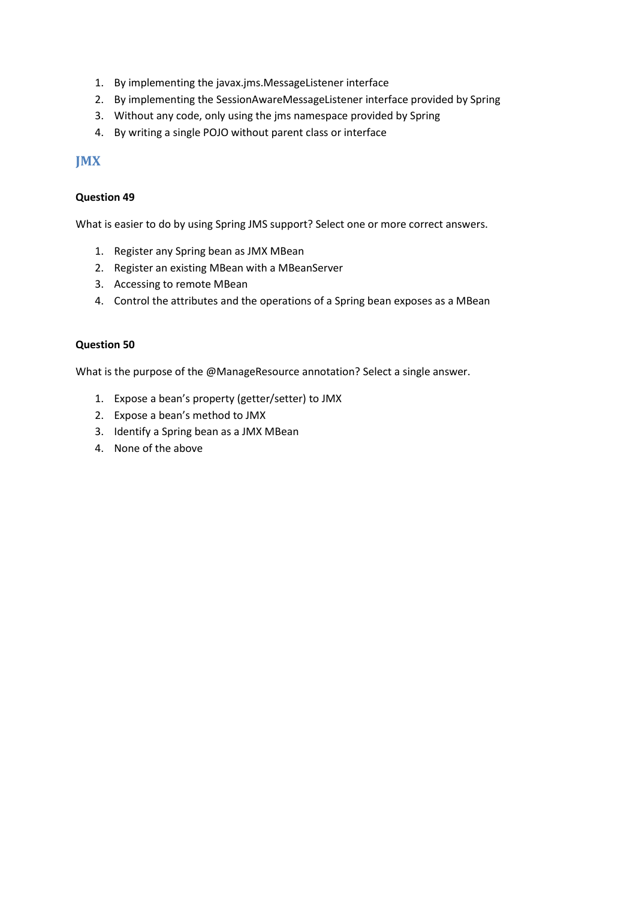- 1. By implementing the javax.jms.MessageListener interface
- 2. By implementing the SessionAwareMessageListener interface provided by Spring
- 3. Without any code, only using the jms namespace provided by Spring
- 4. By writing a single POJO without parent class or interface

## **JMX**

## **Question 49**

What is easier to do by using Spring JMS support? Select one or more correct answers.

- 1. Register any Spring bean as JMX MBean
- 2. Register an existing MBean with a MBeanServer
- 3. Accessing to remote MBean
- 4. Control the attributes and the operations of a Spring bean exposes as a MBean

## **Question 50**

What is the purpose of the @ManageResource annotation? Select a single answer.

- 1. Expose a bean's property (getter/setter) to JMX
- 2. Expose a bean's method to JMX
- 3. Identify a Spring bean as a JMX MBean
- 4. None of the above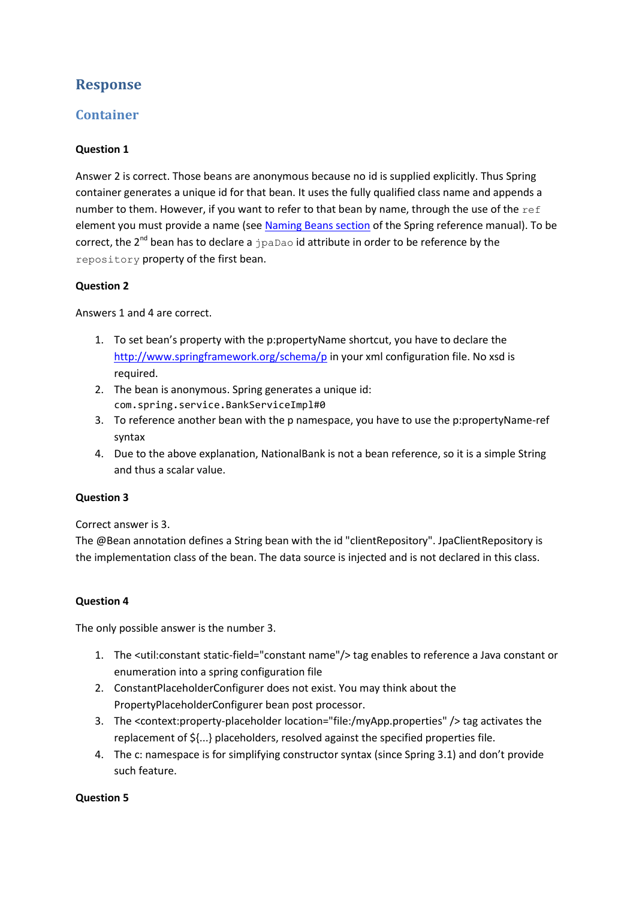## **Response**

## **Container**

## **Question 1**

Answer 2 is correct. Those beans are anonymous because no id is supplied explicitly. Thus Spring container generates a unique id for that bean. It uses the fully qualified class name and appends a number to them. However, if you want to refer to that bean by name, through the use of the  $ref$ element you must provide a name (see [Naming Beans section](http://docs.spring.io/spring/docs/3.2.4.RELEASE/spring-framework-reference/html/beans.html#beans-beanname) of the Spring reference manual). To be correct, the 2<sup>nd</sup> bean has to declare a  $j$  paDao id attribute in order to be reference by the repository property of the first bean.

## **Question 2**

Answers 1 and 4 are correct.

- 1. To set bean's property with the p:propertyName shortcut, you have to declare the <http://www.springframework.org/schema/p> in your xml configuration file. No xsd is required.
- 2. The bean is anonymous. Spring generates a unique id: com.spring.service.BankServiceImpl#0
- 3. To reference another bean with the p namespace, you have to use the p:propertyName-ref syntax
- 4. Due to the above explanation, NationalBank is not a bean reference, so it is a simple String and thus a scalar value.

## **Question 3**

Correct answer is 3.

The @Bean annotation defines a String bean with the id "clientRepository". JpaClientRepository is the implementation class of the bean. The data source is injected and is not declared in this class.

## **Question 4**

The only possible answer is the number 3.

- 1. The <util:constant static-field="constant name"/> tag enables to reference a Java constant or enumeration into a spring configuration file
- 2. ConstantPlaceholderConfigurer does not exist. You may think about the PropertyPlaceholderConfigurer bean post processor.
- 3. The <context:property-placeholder location="file:/myApp.properties" /> tag activates the replacement of \${...} placeholders, resolved against the specified properties file.
- 4. The c: namespace is for simplifying constructor syntax (since Spring 3.1) and don't provide such feature.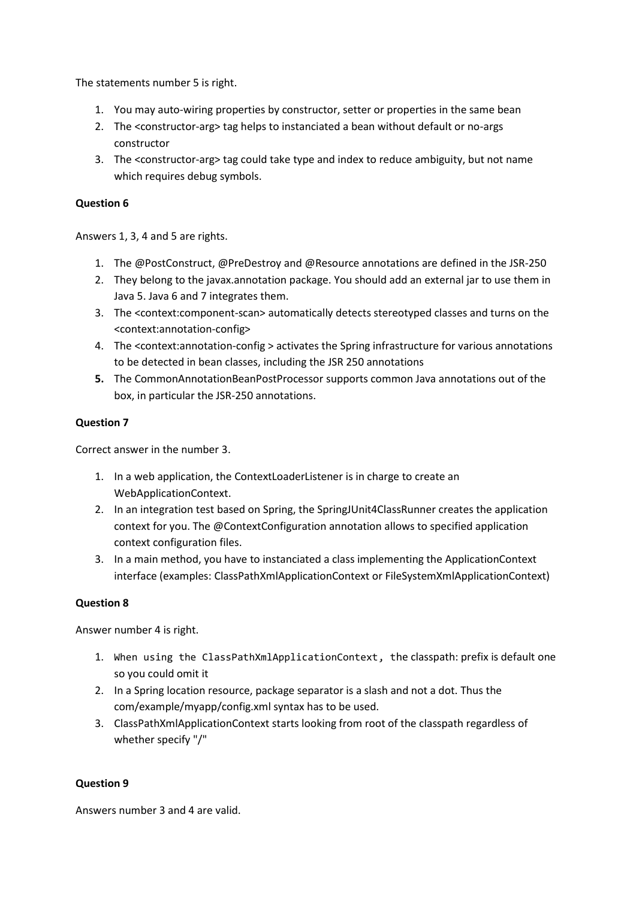The statements number 5 is right.

- 1. You may auto-wiring properties by constructor, setter or properties in the same bean
- 2. The <constructor-arg> tag helps to instanciated a bean without default or no-args constructor
- 3. The <constructor-arg> tag could take type and index to reduce ambiguity, but not name which requires debug symbols.

## **Question 6**

Answers 1, 3, 4 and 5 are rights.

- 1. The @PostConstruct, @PreDestroy and @Resource annotations are defined in the JSR-250
- 2. They belong to the javax.annotation package. You should add an external jar to use them in Java 5. Java 6 and 7 integrates them.
- 3. The <context:component-scan> automatically detects stereotyped classes and turns on the <context:annotation-config>
- 4. The <context:annotation-config > activates the Spring infrastructure for various annotations to be detected in bean classes, including the JSR 250 annotations
- **5.** The CommonAnnotationBeanPostProcessor supports common Java annotations out of the box, in particular the JSR-250 annotations.

## **Question 7**

Correct answer in the number 3.

- 1. In a web application, the ContextLoaderListener is in charge to create an WebApplicationContext.
- 2. In an integration test based on Spring, the SpringJUnit4ClassRunner creates the application context for you. The @ContextConfiguration annotation allows to specified application context configuration files.
- 3. In a main method, you have to instanciated a class implementing the ApplicationContext interface (examples: ClassPathXmlApplicationContext or FileSystemXmlApplicationContext)

## **Question 8**

Answer number 4 is right.

- 1. When using the ClassPathXmlApplicationContext, the classpath: prefix is default one so you could omit it
- 2. In a Spring location resource, package separator is a slash and not a dot. Thus the com/example/myapp/config.xml syntax has to be used.
- 3. ClassPathXmlApplicationContext starts looking from root of the classpath regardless of whether specify "/"

#### **Question 9**

Answers number 3 and 4 are valid.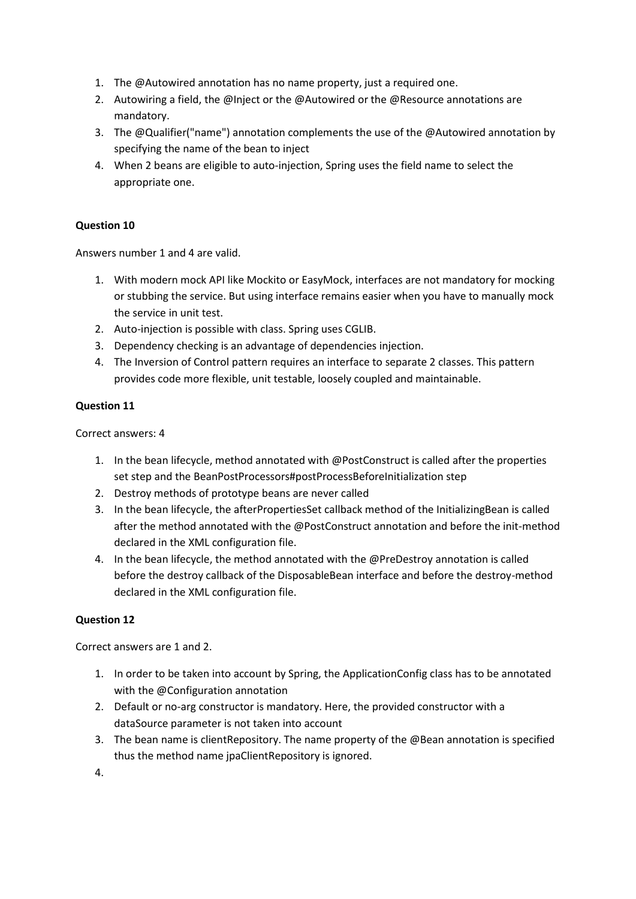- 1. The @Autowired annotation has no name property, just a required one.
- 2. Autowiring a field, the @Inject or the @Autowired or the @Resource annotations are mandatory.
- 3. The @Qualifier("name") annotation complements the use of the @Autowired annotation by specifying the name of the bean to inject
- 4. When 2 beans are eligible to auto-injection, Spring uses the field name to select the appropriate one.

Answers number 1 and 4 are valid.

- 1. With modern mock API like Mockito or EasyMock, interfaces are not mandatory for mocking or stubbing the service. But using interface remains easier when you have to manually mock the service in unit test.
- 2. Auto-injection is possible with class. Spring uses CGLIB.
- 3. Dependency checking is an advantage of dependencies injection.
- 4. The Inversion of Control pattern requires an interface to separate 2 classes. This pattern provides code more flexible, unit testable, loosely coupled and maintainable.

## **Question 11**

Correct answers: 4

- 1. In the bean lifecycle, method annotated with @PostConstruct is called after the properties set step and the BeanPostProcessors#postProcessBeforeInitialization step
- 2. Destroy methods of prototype beans are never called
- 3. In the bean lifecycle, the afterPropertiesSet callback method of the InitializingBean is called after the method annotated with the @PostConstruct annotation and before the init-method declared in the XML configuration file.
- 4. In the bean lifecycle, the method annotated with the @PreDestroy annotation is called before the destroy callback of the DisposableBean interface and before the destroy-method declared in the XML configuration file.

## **Question 12**

Correct answers are 1 and 2.

- 1. In order to be taken into account by Spring, the ApplicationConfig class has to be annotated with the @Configuration annotation
- 2. Default or no-arg constructor is mandatory. Here, the provided constructor with a dataSource parameter is not taken into account
- 3. The bean name is clientRepository. The name property of the @Bean annotation is specified thus the method name jpaClientRepository is ignored.
- 4.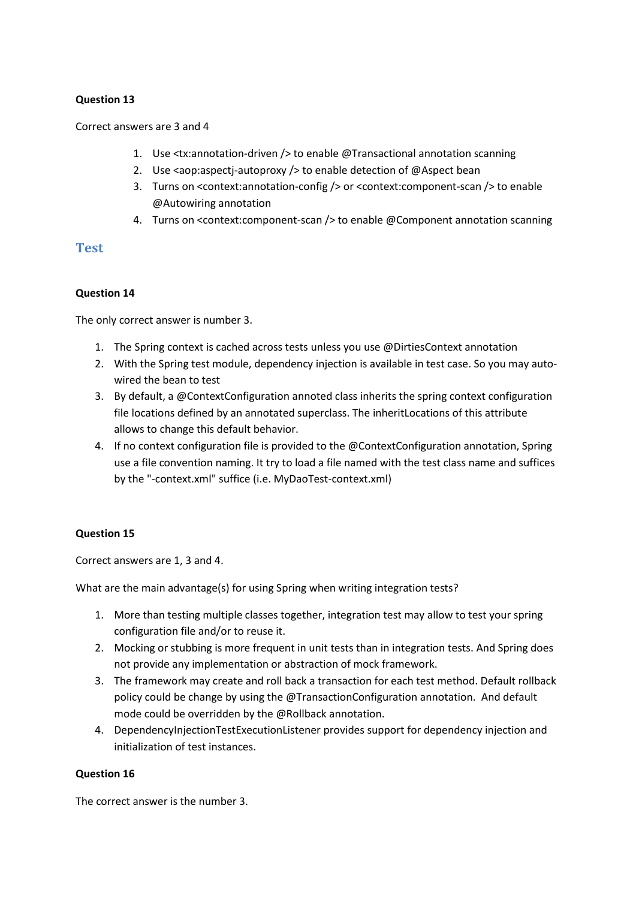#### Correct answers are 3 and 4

- 1. Use <tx:annotation-driven /> to enable @Transactional annotation scanning
- 2. Use <aop:aspectj-autoproxy /> to enable detection of @Aspect bean
- 3. Turns on <context:annotation-config /> or <context:component-scan /> to enable @Autowiring annotation
- 4. Turns on <context:component-scan /> to enable @Component annotation scanning

## **Test**

#### **Question 14**

The only correct answer is number 3.

- 1. The Spring context is cached across tests unless you use @DirtiesContext annotation
- 2. With the Spring test module, dependency injection is available in test case. So you may autowired the bean to test
- 3. By default, a @ContextConfiguration annoted class inherits the spring context configuration file locations defined by an annotated superclass. The inheritLocations of this attribute allows to change this default behavior.
- 4. If no context configuration file is provided to the @ContextConfiguration annotation, Spring use a file convention naming. It try to load a file named with the test class name and suffices by the "-context.xml" suffice (i.e. MyDaoTest-context.xml)

#### **Question 15**

Correct answers are 1, 3 and 4.

What are the main advantage(s) for using Spring when writing integration tests?

- 1. More than testing multiple classes together, integration test may allow to test your spring configuration file and/or to reuse it.
- 2. Mocking or stubbing is more frequent in unit tests than in integration tests. And Spring does not provide any implementation or abstraction of mock framework.
- 3. The framework may create and roll back a transaction for each test method. Default rollback policy could be change by using the @TransactionConfiguration annotation. And default mode could be overridden by the @Rollback annotation.
- 4. DependencyInjectionTestExecutionListener provides support for dependency injection and initialization of test instances.

#### **Question 16**

The correct answer is the number 3.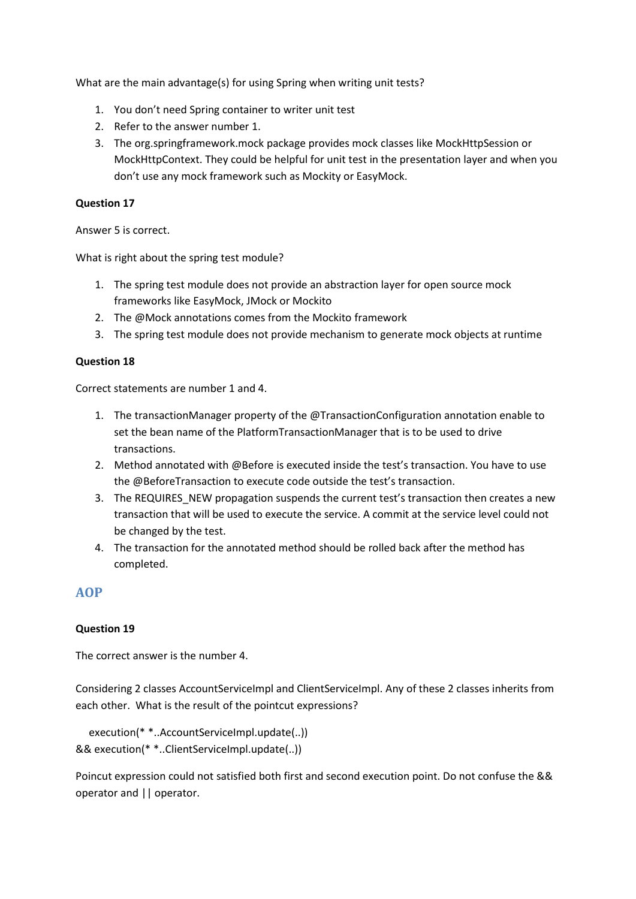What are the main advantage(s) for using Spring when writing unit tests?

- 1. You don't need Spring container to writer unit test
- 2. Refer to the answer number 1.
- 3. The org.springframework.mock package provides mock classes like MockHttpSession or MockHttpContext. They could be helpful for unit test in the presentation layer and when you don't use any mock framework such as Mockity or EasyMock.

### **Question 17**

Answer 5 is correct.

What is right about the spring test module?

- 1. The spring test module does not provide an abstraction layer for open source mock frameworks like EasyMock, JMock or Mockito
- 2. The @Mock annotations comes from the Mockito framework
- 3. The spring test module does not provide mechanism to generate mock objects at runtime

## **Question 18**

Correct statements are number 1 and 4.

- 1. The transactionManager property of the @TransactionConfiguration annotation enable to set the bean name of the PlatformTransactionManager that is to be used to drive transactions.
- 2. Method annotated with @Before is executed inside the test's transaction. You have to use the @BeforeTransaction to execute code outside the test's transaction.
- 3. The REQUIRES NEW propagation suspends the current test's transaction then creates a new transaction that will be used to execute the service. A commit at the service level could not be changed by the test.
- 4. The transaction for the annotated method should be rolled back after the method has completed.

## **AOP**

## **Question 19**

The correct answer is the number 4.

Considering 2 classes AccountServiceImpl and ClientServiceImpl. Any of these 2 classes inherits from each other. What is the result of the pointcut expressions?

```
 execution(* *..AccountServiceImpl.update(..)) 
&& execution(* *..ClientServiceImpl.update(..))
```
Poincut expression could not satisfied both first and second execution point. Do not confuse the && operator and || operator.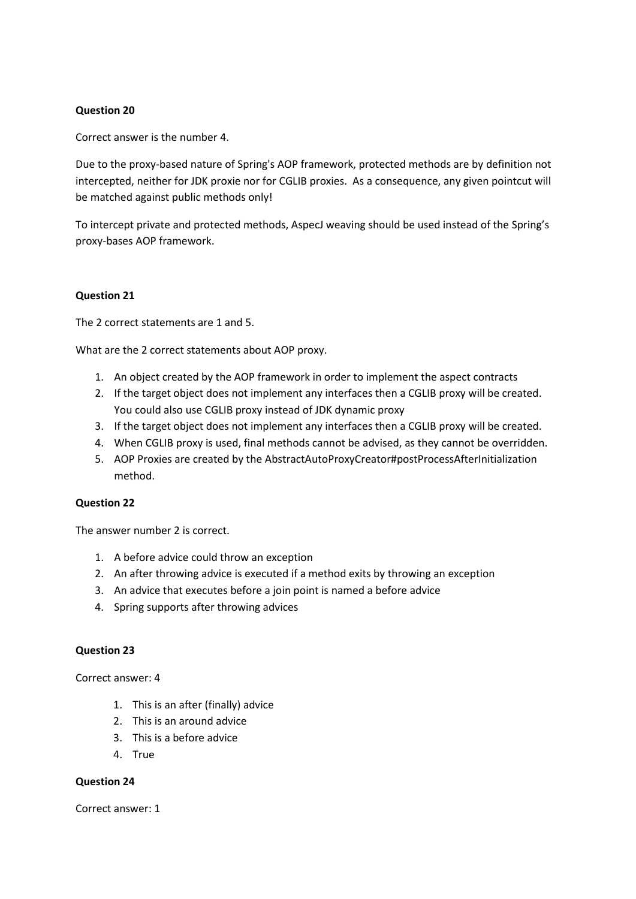Correct answer is the number 4.

Due to the proxy-based nature of Spring's AOP framework, protected methods are by definition not intercepted, neither for JDK proxie nor for CGLIB proxies. As a consequence, any given pointcut will be matched against public methods only!

To intercept private and protected methods, AspecJ weaving should be used instead of the Spring's proxy-bases AOP framework.

#### **Question 21**

The 2 correct statements are 1 and 5.

What are the 2 correct statements about AOP proxy.

- 1. An object created by the AOP framework in order to implement the aspect contracts
- 2. If the target object does not implement any interfaces then a CGLIB proxy will be created. You could also use CGLIB proxy instead of JDK dynamic proxy
- 3. If the target object does not implement any interfaces then a CGLIB proxy will be created.
- 4. When CGLIB proxy is used, final methods cannot be advised, as they cannot be overridden.
- 5. AOP Proxies are created by the AbstractAutoProxyCreator#postProcessAfterInitialization method.

#### **Question 22**

The answer number 2 is correct.

- 1. A before advice could throw an exception
- 2. An after throwing advice is executed if a method exits by throwing an exception
- 3. An advice that executes before a join point is named a before advice
- 4. Spring supports after throwing advices

## **Question 23**

Correct answer: 4

- 1. This is an after (finally) advice
- 2. This is an around advice
- 3. This is a before advice
- 4. True

#### **Question 24**

Correct answer: 1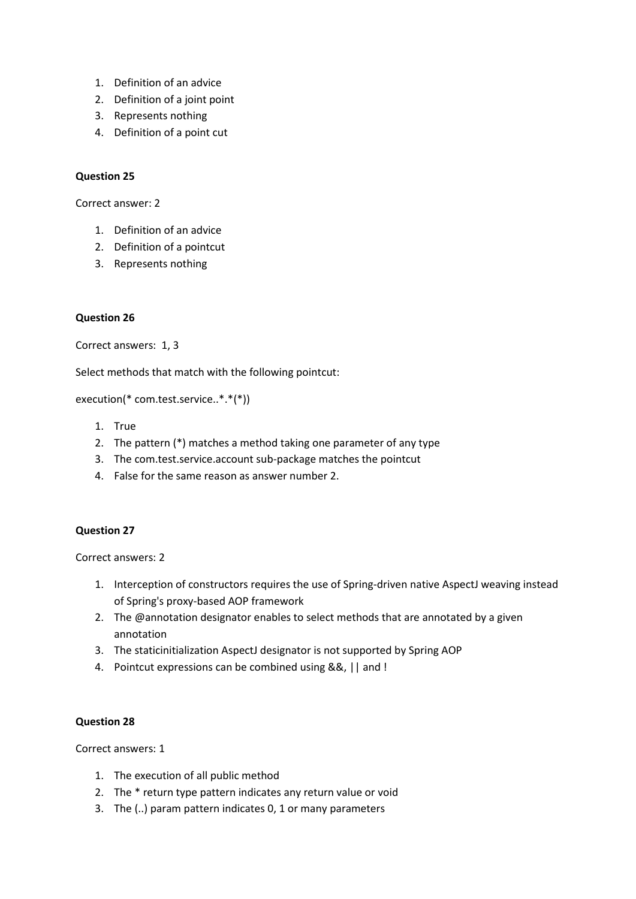- 1. Definition of an advice
- 2. Definition of a joint point
- 3. Represents nothing
- 4. Definition of a point cut

Correct answer: 2

- 1. Definition of an advice
- 2. Definition of a pointcut
- 3. Represents nothing

#### **Question 26**

Correct answers: 1, 3

Select methods that match with the following pointcut:

execution(\* com.test.service..\*.\*(\*))

- 1. True
- 2. The pattern (\*) matches a method taking one parameter of any type
- 3. The com.test.service.account sub-package matches the pointcut
- 4. False for the same reason as answer number 2.

#### **Question 27**

Correct answers: 2

- 1. Interception of constructors requires the use of Spring-driven native AspectJ weaving instead of Spring's proxy-based AOP framework
- 2. The @annotation designator enables to select methods that are annotated by a given annotation
- 3. The staticinitialization AspectJ designator is not supported by Spring AOP
- 4. Pointcut expressions can be combined using &&, || and !

#### **Question 28**

Correct answers: 1

- 1. The execution of all public method
- 2. The \* return type pattern indicates any return value or void
- 3. The (..) param pattern indicates 0, 1 or many parameters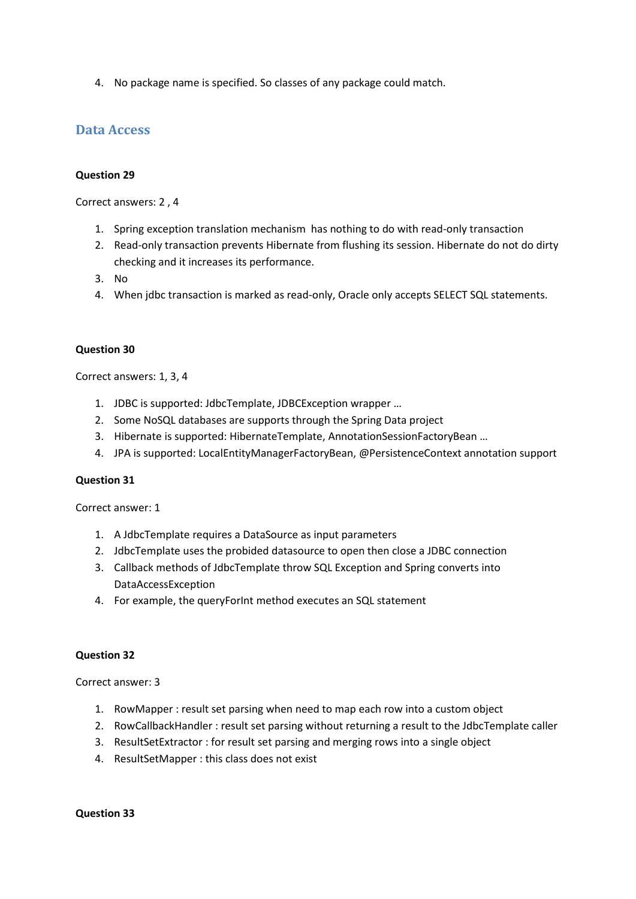4. No package name is specified. So classes of any package could match.

## **Data Access**

### **Question 29**

Correct answers: 2 , 4

- 1. Spring exception translation mechanism has nothing to do with read-only transaction
- 2. Read-only transaction prevents Hibernate from flushing its session. Hibernate do not do dirty checking and it increases its performance.
- 3. No
- 4. When jdbc transaction is marked as read-only, Oracle only accepts SELECT SQL statements.

## **Question 30**

Correct answers: 1, 3, 4

- 1. JDBC is supported: JdbcTemplate, JDBCException wrapper …
- 2. Some NoSQL databases are supports through the Spring Data project
- 3. Hibernate is supported: HibernateTemplate, AnnotationSessionFactoryBean …
- 4. JPA is supported: LocalEntityManagerFactoryBean, @PersistenceContext annotation support

#### **Question 31**

Correct answer: 1

- 1. A JdbcTemplate requires a DataSource as input parameters
- 2. JdbcTemplate uses the probided datasource to open then close a JDBC connection
- 3. Callback methods of JdbcTemplate throw SQL Exception and Spring converts into DataAccessException
- 4. For example, the queryForInt method executes an SQL statement

#### **Question 32**

Correct answer: 3

- 1. RowMapper : result set parsing when need to map each row into a custom object
- 2. RowCallbackHandler : result set parsing without returning a result to the JdbcTemplate caller
- 3. ResultSetExtractor : for result set parsing and merging rows into a single object
- 4. ResultSetMapper : this class does not exist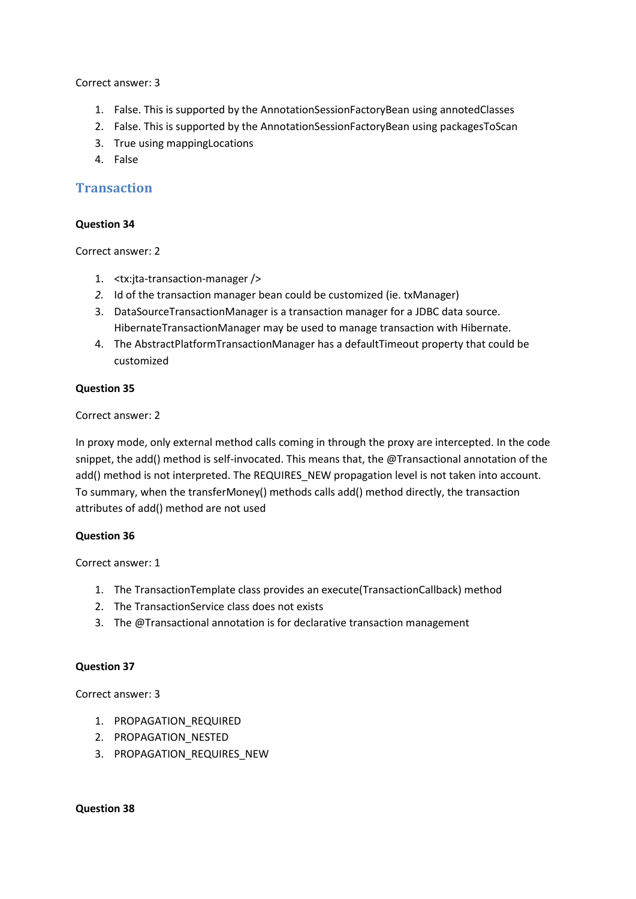Correct answer: 3

- 1. False. This is supported by the AnnotationSessionFactoryBean using annotedClasses
- 2. False. This is supported by the AnnotationSessionFactoryBean using packagesToScan
- 3. True using mappingLocations
- 4. False

## **Transaction**

## **Question 34**

Correct answer: 2

- 1. <tx:jta-transaction-manager />
- *2.* Id of the transaction manager bean could be customized (ie. txManager)
- 3. DataSourceTransactionManager is a transaction manager for a JDBC data source. HibernateTransactionManager may be used to manage transaction with Hibernate.
- 4. The AbstractPlatformTransactionManager has a defaultTimeout property that could be customized

## **Question 35**

Correct answer: 2

In proxy mode, only external method calls coming in through the proxy are intercepted. In the code snippet, the add() method is self-invocated. This means that, the @Transactional annotation of the add() method is not interpreted. The REQUIRES NEW propagation level is not taken into account. To summary, when the transferMoney() methods calls add() method directly, the transaction attributes of add() method are not used

## **Question 36**

Correct answer: 1

- 1. The TransactionTemplate class provides an execute(TransactionCallback) method
- 2. The TransactionService class does not exists
- 3. The @Transactional annotation is for declarative transaction management

## **Question 37**

Correct answer: 3

- 1. PROPAGATION REQUIRED
- 2. PROPAGATION NESTED
- 3. PROPAGATION\_REQUIRES\_NEW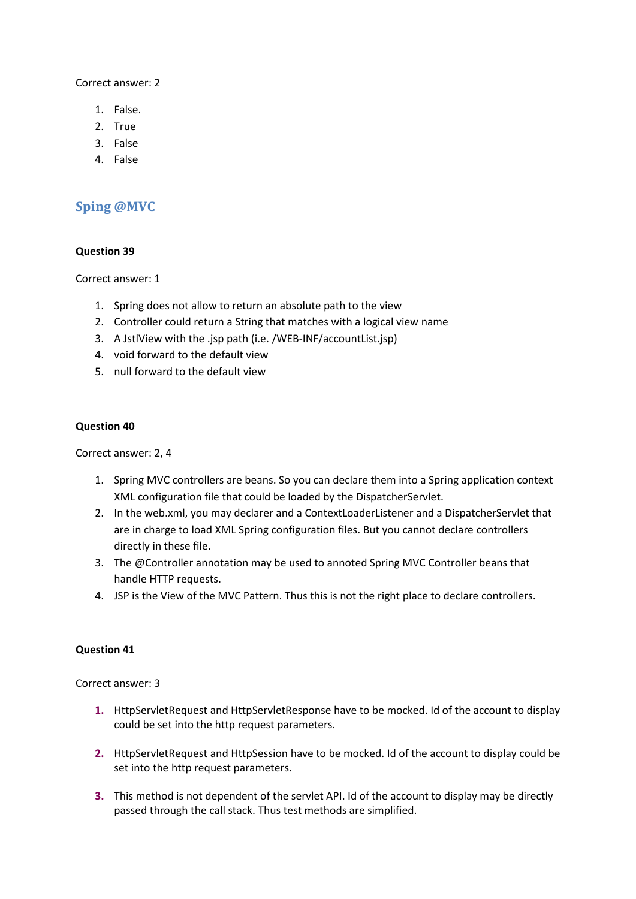Correct answer: 2

- 1. False.
- 2. True
- 3. False
- 4. False

## **Sping @MVC**

## **Question 39**

Correct answer: 1

- 1. Spring does not allow to return an absolute path to the view
- 2. Controller could return a String that matches with a logical view name
- 3. A JstlView with the .jsp path (i.e. /WEB-INF/accountList.jsp)
- 4. void forward to the default view
- 5. null forward to the default view

## **Question 40**

Correct answer: 2, 4

- 1. Spring MVC controllers are beans. So you can declare them into a Spring application context XML configuration file that could be loaded by the DispatcherServlet.
- 2. In the web.xml, you may declarer and a ContextLoaderListener and a DispatcherServlet that are in charge to load XML Spring configuration files. But you cannot declare controllers directly in these file.
- 3. The @Controller annotation may be used to annoted Spring MVC Controller beans that handle HTTP requests.
- 4. JSP is the View of the MVC Pattern. Thus this is not the right place to declare controllers.

## **Question 41**

Correct answer: 3

- **1.** HttpServletRequest and HttpServletResponse have to be mocked. Id of the account to display could be set into the http request parameters.
- **2.** HttpServletRequest and HttpSession have to be mocked. Id of the account to display could be set into the http request parameters.
- **3.** This method is not dependent of the servlet API. Id of the account to display may be directly passed through the call stack. Thus test methods are simplified.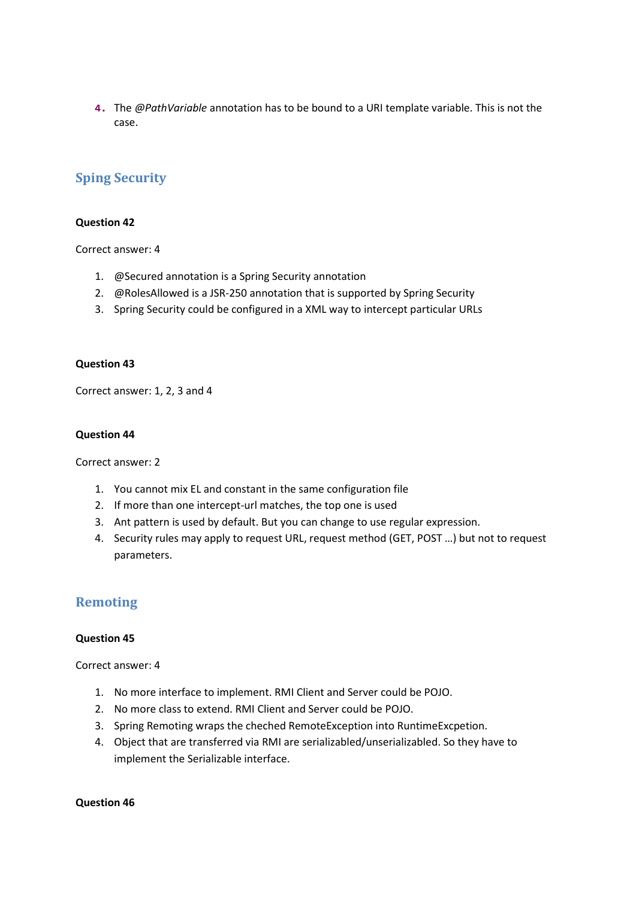**4.** The *@PathVariable* annotation has to be bound to a URI template variable. This is not the case.

## **Sping Security**

#### **Question 42**

Correct answer: 4

- 1. @Secured annotation is a Spring Security annotation
- 2. @RolesAllowed is a JSR-250 annotation that is supported by Spring Security
- 3. Spring Security could be configured in a XML way to intercept particular URLs

#### **Question 43**

Correct answer: 1, 2, 3 and 4

#### **Question 44**

Correct answer: 2

- 1. You cannot mix EL and constant in the same configuration file
- 2. If more than one intercept-url matches, the top one is used
- 3. Ant pattern is used by default. But you can change to use regular expression.
- 4. Security rules may apply to request URL, request method (GET, POST …) but not to request parameters.

## **Remoting**

#### **Question 45**

Correct answer: 4

- 1. No more interface to implement. RMI Client and Server could be POJO.
- 2. No more class to extend. RMI Client and Server could be POJO.
- 3. Spring Remoting wraps the cheched RemoteException into RuntimeExcpetion.
- 4. Object that are transferred via RMI are serializabled/unserializabled. So they have to implement the Serializable interface.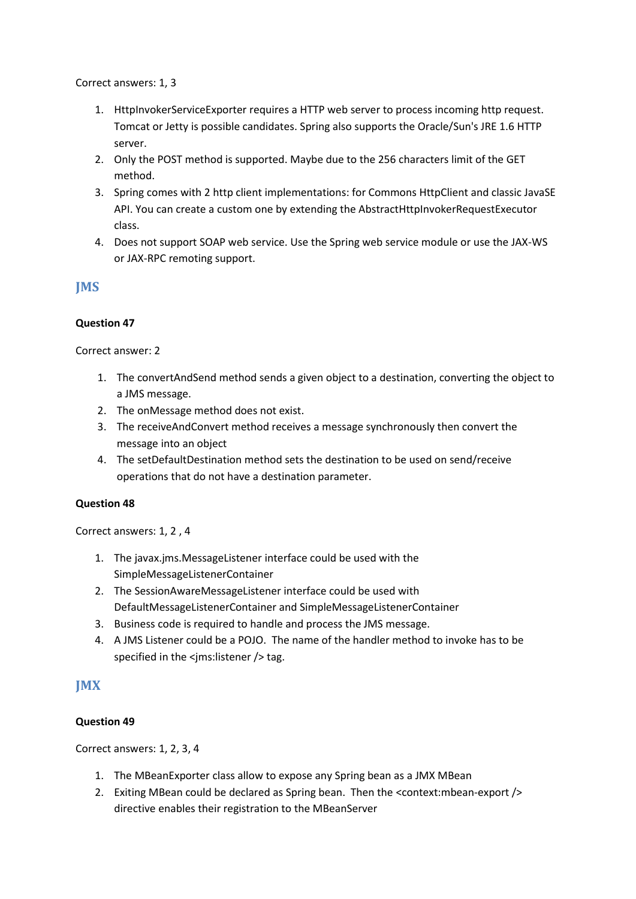Correct answers: 1, 3

- 1. HttpInvokerServiceExporter requires a HTTP web server to process incoming http request. Tomcat or Jetty is possible candidates. Spring also supports the Oracle/Sun's JRE 1.6 HTTP server.
- 2. Only the POST method is supported. Maybe due to the 256 characters limit of the GET method.
- 3. Spring comes with 2 http client implementations: for Commons HttpClient and classic JavaSE API. You can create a custom one by extending the AbstractHttpInvokerRequestExecutor class.
- 4. Does not support SOAP web service. Use the Spring web service module or use the JAX-WS or JAX-RPC remoting support.

## **JMS**

## **Question 47**

Correct answer: 2

- 1. The convertAndSend method sends a given object to a destination, converting the object to a JMS message.
- 2. The onMessage method does not exist.
- 3. The receiveAndConvert method receives a message synchronously then convert the message into an object
- 4. The setDefaultDestination method sets the destination to be used on send/receive operations that do not have a destination parameter.

## **Question 48**

Correct answers: 1, 2 , 4

- 1. The javax.jms.MessageListener interface could be used with the SimpleMessageListenerContainer
- 2. The SessionAwareMessageListener interface could be used with DefaultMessageListenerContainer and SimpleMessageListenerContainer
- 3. Business code is required to handle and process the JMS message.
- 4. A JMS Listener could be a POJO. The name of the handler method to invoke has to be specified in the <jms:listener /> tag.

## **JMX**

## **Question 49**

Correct answers: 1, 2, 3, 4

- 1. The MBeanExporter class allow to expose any Spring bean as a JMX MBean
- 2. Exiting MBean could be declared as Spring bean. Then the <context:mbean-export /> directive enables their registration to the MBeanServer